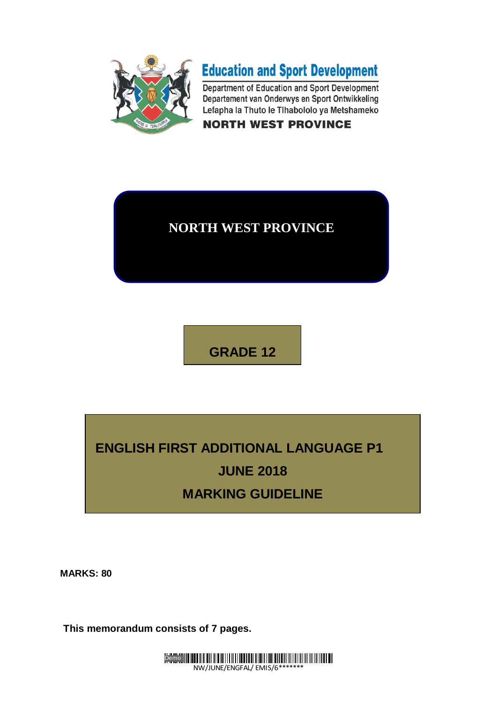



Department of Education and Sport Development Departement van Onderwys en Sport Ontwikkeling Lefapha la Thuto le Tlhabololo ya Metshameko **NORTH WEST PROVINCE** 

## **NORTH WEST PROVINCE**

**GRADE 12**

# **ENGLISH FIRST ADDITIONAL LANGUAGE P1 JUNE 2018 MARKING GUIDELINE**

**MARKS: 80**

**This memorandum consists of 7 pages.**

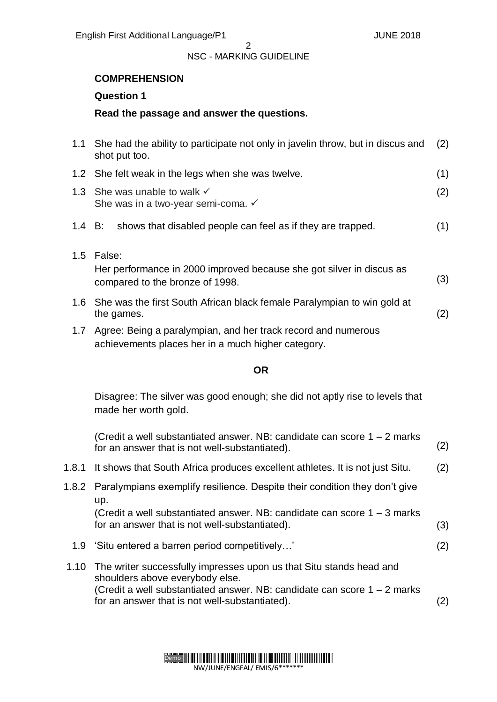### **COMPREHENSION**

#### **Question 1**

#### **Read the passage and answer the questions.**

| 1.1    | She had the ability to participate not only in javelin throw, but in discus and<br>shot put too.                      |     |
|--------|-----------------------------------------------------------------------------------------------------------------------|-----|
|        | 1.2 She felt weak in the legs when she was twelve.                                                                    | (1) |
|        | 1.3 She was unable to walk $\checkmark$<br>She was in a two-year semi-coma. ✓                                         | (2) |
| 1.4 B: | shows that disabled people can feel as if they are trapped.                                                           | (1) |
|        | 1.5 False:<br>Her performance in 2000 improved because she got silver in discus as<br>compared to the bronze of 1998. | (3) |
|        | 1.6 She was the first South African black female Paralympian to win gold at<br>the games.                             | (2) |
| 1.7    | Agree: Being a paralympian, and her track record and numerous<br>achievements places her in a much higher category.   |     |

#### **OR**

Disagree: The silver was good enough; she did not aptly rise to levels that made her worth gold.

| (Credit a well substantiated answer. NB: candidate can score $1 - 2$ marks<br>for an answer that is not well-substantiated).                                                                                                                | (2) |
|---------------------------------------------------------------------------------------------------------------------------------------------------------------------------------------------------------------------------------------------|-----|
| 1.8.1 It shows that South Africa produces excellent athletes. It is not just Situ.                                                                                                                                                          | (2) |
| 1.8.2 Paralympians exemplify resilience. Despite their condition they don't give<br>up.                                                                                                                                                     |     |
| (Credit a well substantiated answer. NB: candidate can score $1 - 3$ marks<br>for an answer that is not well-substantiated).                                                                                                                | (3) |
| 1.9 'Situ entered a barren period competitively'                                                                                                                                                                                            | (2) |
| 1.10 The writer successfully impresses upon us that Situ stands head and<br>shoulders above everybody else.<br>(Credit a well substantiated answer. NB: candidate can score $1 - 2$ marks<br>for an answer that is not well-substantiated). | 2)  |

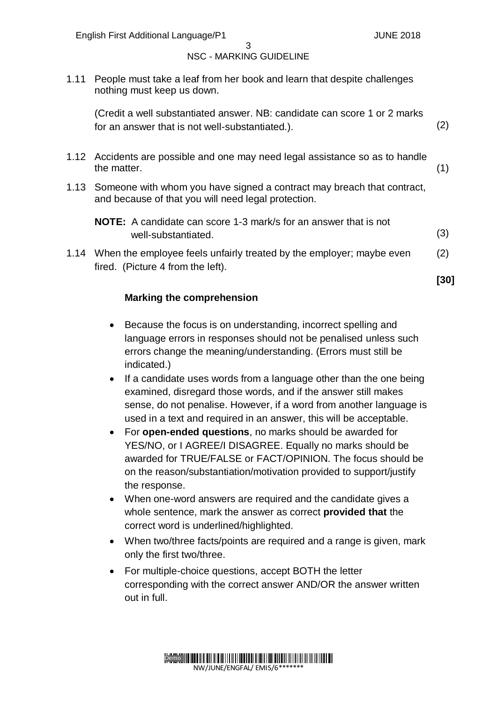#### $\mathbf{z}$ NSC - MARKING GUIDELINE

1.11 People must take a leaf from her book and learn that despite challenges nothing must keep us down.

(Credit a well substantiated answer. NB: candidate can score 1 or 2 marks for an answer that is not well-substantiated.). (2)

- 1.12 Accidents are possible and one may need legal assistance so as to handle the matter. (1)
- 1.13 Someone with whom you have signed a contract may breach that contract, and because of that you will need legal protection.

1.14 When the employee feels unfairly treated by the employer; maybe even fired. (Picture 4 from the left). (2)

**[30]**

#### **Marking the comprehension**

- Because the focus is on understanding, incorrect spelling and language errors in responses should not be penalised unless such errors change the meaning/understanding. (Errors must still be indicated.)
- If a candidate uses words from a language other than the one being examined, disregard those words, and if the answer still makes sense, do not penalise. However, if a word from another language is used in a text and required in an answer, this will be acceptable.
- For **open-ended questions**, no marks should be awarded for YES/NO, or I AGREE/I DISAGREE. Equally no marks should be awarded for TRUE/FALSE or FACT/OPINION. The focus should be on the reason/substantiation/motivation provided to support/justify the response.
- When one-word answers are required and the candidate gives a whole sentence, mark the answer as correct **provided that** the correct word is underlined/highlighted.
- When two/three facts/points are required and a range is given, mark only the first two/three.
- For multiple-choice questions, accept BOTH the letter corresponding with the correct answer AND/OR the answer written out in full.



**NOTE:** A candidate can score 1-3 mark/s for an answer that is not well-substantiated. (3)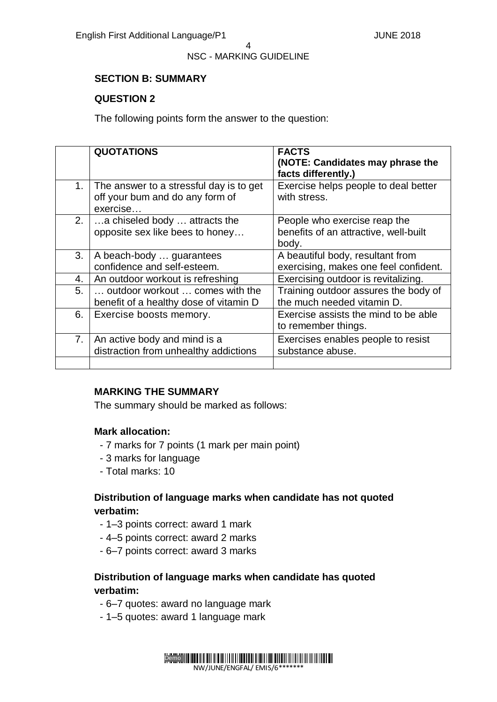#### 4

#### NSC - MARKING GUIDELINE

#### **SECTION B: SUMMARY**

#### **QUESTION 2**

The following points form the answer to the question:

|                | <b>QUOTATIONS</b>                                                                      | <b>FACTS</b><br>(NOTE: Candidates may phrase the<br>facts differently.)        |
|----------------|----------------------------------------------------------------------------------------|--------------------------------------------------------------------------------|
| 1 <sub>1</sub> | The answer to a stressful day is to get<br>off your bum and do any form of<br>exercise | Exercise helps people to deal better<br>with stress.                           |
| 2.             | a chiseled body  attracts the<br>opposite sex like bees to honey                       | People who exercise reap the<br>benefits of an attractive, well-built<br>body. |
| 3.             | A beach-body  guarantees<br>confidence and self-esteem.                                | A beautiful body, resultant from<br>exercising, makes one feel confident.      |
| 4.             | An outdoor workout is refreshing                                                       | Exercising outdoor is revitalizing.                                            |
| 5.             | outdoor workout  comes with the<br>benefit of a healthy dose of vitamin D              | Training outdoor assures the body of<br>the much needed vitamin D.             |
| 6.             | Exercise boosts memory.                                                                | Exercise assists the mind to be able<br>to remember things.                    |
| 7.             | An active body and mind is a<br>distraction from unhealthy addictions                  | Exercises enables people to resist<br>substance abuse.                         |
|                |                                                                                        |                                                                                |

#### **MARKING THE SUMMARY**

The summary should be marked as follows:

#### **Mark allocation:**

- 7 marks for 7 points (1 mark per main point)
- 3 marks for language
- Total marks: 10

#### **Distribution of language marks when candidate has not quoted verbatim:**

- 1–3 points correct: award 1 mark
- 4–5 points correct: award 2 marks
- 6–7 points correct: award 3 marks

#### **Distribution of language marks when candidate has quoted verbatim:**

- 6–7 quotes: award no language mark
- 1–5 quotes: award 1 language mark

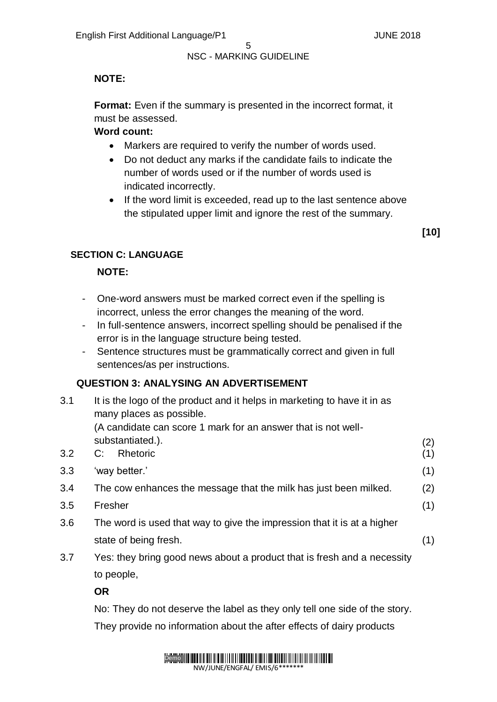### **NOTE:**

**Format:** Even if the summary is presented in the incorrect format, it must be assessed.

#### **Word count:**

- Markers are required to verify the number of words used.
- Do not deduct any marks if the candidate fails to indicate the number of words used or if the number of words used is indicated incorrectly.
- If the word limit is exceeded, read up to the last sentence above the stipulated upper limit and ignore the rest of the summary.

**[10]**

#### **SECTION C: LANGUAGE**

#### **NOTE:**

- One-word answers must be marked correct even if the spelling is incorrect, unless the error changes the meaning of the word.
- In full-sentence answers, incorrect spelling should be penalised if the error is in the language structure being tested.
- Sentence structures must be grammatically correct and given in full sentences/as per instructions.

#### **QUESTION 3: ANALYSING AN ADVERTISEMENT**

| 3.1 | It is the logo of the product and it helps in marketing to have it in as<br>many places as possible. |            |
|-----|------------------------------------------------------------------------------------------------------|------------|
|     | (A candidate can score 1 mark for an answer that is not well-<br>substantiated.).                    |            |
| 3.2 | Rhetoric<br>C:                                                                                       | (2)<br>(1) |
|     |                                                                                                      |            |
| 3.3 | 'way better.'                                                                                        | (1)        |
| 3.4 | The cow enhances the message that the milk has just been milked.                                     | (2)        |
| 3.5 | Fresher                                                                                              |            |
| 3.6 | The word is used that way to give the impression that it is at a higher                              |            |
|     | state of being fresh.                                                                                | (1)        |
| 3.7 | Yes: they bring good news about a product that is fresh and a necessity                              |            |

to people,

**OR**

No: They do not deserve the label as they only tell one side of the story. They provide no information about the after effects of dairy products

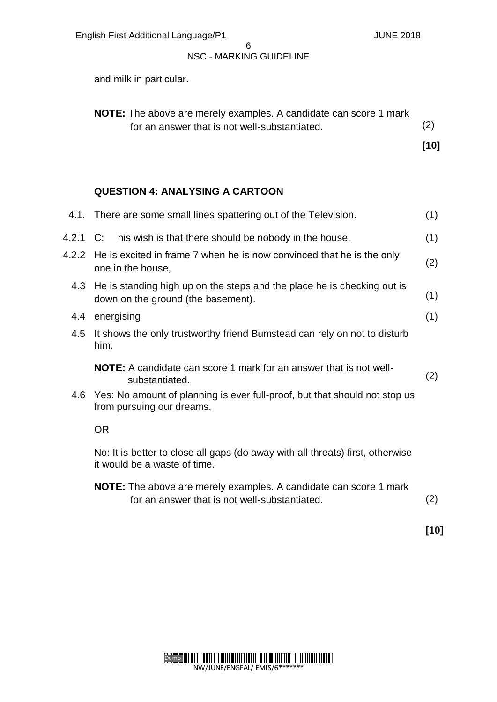and milk in particular.

| <b>NOTE:</b> The above are merely examples. A candidate can score 1 mark<br>for an answer that is not well-substantiated. |             |
|---------------------------------------------------------------------------------------------------------------------------|-------------|
|                                                                                                                           | (2)<br>[10] |

#### **QUESTION 4: ANALYSING A CARTOON**

|          | 4.1. There are some small lines spattering out of the Television.                                                         |     |  |
|----------|---------------------------------------------------------------------------------------------------------------------------|-----|--|
| 4.2.1 C: | his wish is that there should be nobody in the house.                                                                     | (1) |  |
| 4.2.2    | He is excited in frame 7 when he is now convinced that he is the only<br>one in the house,                                |     |  |
| 4.3      | He is standing high up on the steps and the place he is checking out is<br>down on the ground (the basement).             |     |  |
| 4.4      | energising                                                                                                                | (1) |  |
| 4.5      | It shows the only trustworthy friend Bumstead can rely on not to disturb<br>him.                                          |     |  |
|          | NOTE: A candidate can score 1 mark for an answer that is not well-<br>substantiated.                                      | (2) |  |
| 4.6      | Yes: No amount of planning is ever full-proof, but that should not stop us<br>from pursuing our dreams.                   |     |  |
|          | <b>OR</b>                                                                                                                 |     |  |
|          | No: It is better to close all gaps (do away with all threats) first, otherwise<br>it would be a waste of time.            |     |  |
|          | <b>NOTE:</b> The above are merely examples. A candidate can score 1 mark<br>for an answer that is not well-substantiated. | (2) |  |

**[10]**